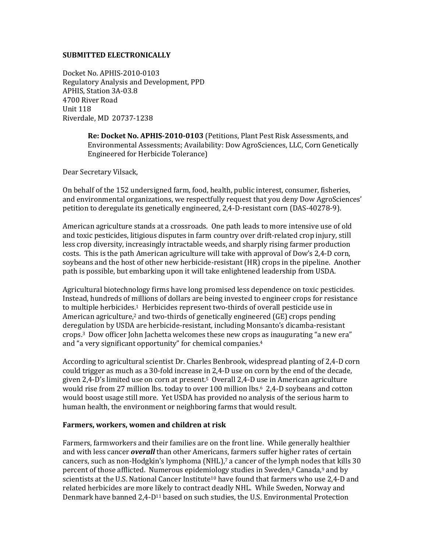#### **SUBMITTED ELECTRONICALLY**

Docket No. APHIS-2010-0103 Regulatory Analysis and Development, PPD APHIS, Station 3A-03.8 4700 River Road Unit 118 Riverdale, MD 20737-1238

> **Re: Docket No. APHIS-2010-0103** (Petitions, Plant Pest Risk Assessments, and Environmental Assessments; Availability: Dow AgroSciences, LLC, Corn Genetically Engineered for Herbicide Tolerance)

Dear Secretary Vilsack,

On behalf of the 152 undersigned farm, food, health, public interest, consumer, fisheries, and environmental organizations, we respectfully request that you deny Dow AgroSciences' petition to deregulate its genetically engineered, 2,4-D-resistant corn (DAS-40278-9).

American agriculture stands at a crossroads. One path leads to more intensive use of old and toxic pesticides, litigious disputes in farm country over drift-related crop injury, still less crop diversity, increasingly intractable weeds, and sharply rising farmer production costs. This is the path American agriculture will take with approval of Dow's 2,4-D corn, soybeans and the host of other new herbicide-resistant (HR) crops in the pipeline. Another path is possible, but embarking upon it will take enlightened leadership from USDA.

Agricultural biotechnology firms have long promised less dependence on toxic pesticides. Instead, hundreds of millions of dollars are being invested to engineer crops for resistance to multiple herbicides.<sup>1</sup> Herbicides represent two-thirds of overall pesticide use in American agriculture,<sup>2</sup> and two-thirds of genetically engineered  $(GE)$  crops pending deregulation by USDA are herbicide-resistant, including Monsanto's dicamba-resistant crops.3 Dow officer John Jachetta welcomes these new crops as inaugurating "a new era" and "a very significant opportunity" for chemical companies.<sup>4</sup>

According to agricultural scientist Dr. Charles Benbrook, widespread planting of 2,4-D corn could trigger as much as a 30-fold increase in 2,4-D use on corn by the end of the decade, given 2,4-D's limited use on corn at present.5 Overall 2,4-D use in American agriculture would rise from 27 million lbs. today to over 100 million lbs.<sup>6</sup> 2,4-D soybeans and cotton would boost usage still more. Yet USDA has provided no analysis of the serious harm to human health, the environment or neighboring farms that would result.

### **Farmers, workers, women and children at risk**

Farmers, farmworkers and their families are on the front line. While generally healthier and with less cancer *overall* than other Americans, farmers suffer higher rates of certain cancers, such as non-Hodgkin's lymphoma (NHL),7 a cancer of the lymph nodes that kills 30 percent of those afflicted. Numerous epidemiology studies in Sweden,<sup>8</sup> Canada,<sup>9</sup> and by scientists at the U.S. National Cancer Institute<sup>10</sup> have found that farmers who use 2,4-D and related herbicides are more likely to contract deadly NHL. While Sweden, Norway and Denmark have banned 2,4-D11 based on such studies, the U.S. Environmental Protection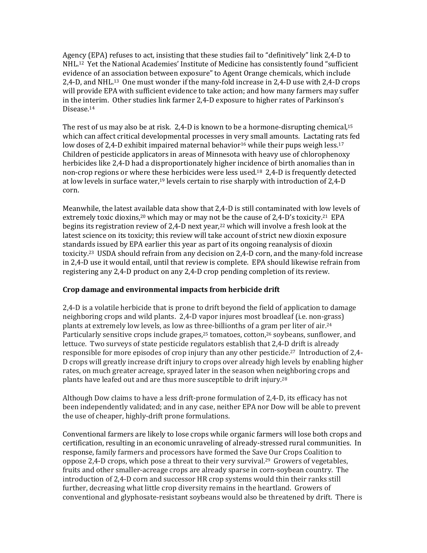Agency (EPA) refuses to act, insisting that these studies fail to "definitively" link 2,4-D to NHL.12 Yet the National Academies' Institute of Medicine has consistently found "sufficient evidence of an association between exposure" to Agent Orange chemicals, which include 2,4-D, and NHL.13 One must wonder if the many-fold increase in 2,4-D use with 2,4-D crops will provide EPA with sufficient evidence to take action; and how many farmers may suffer in the interim. Other studies link farmer 2,4-D exposure to higher rates of Parkinson's Disease.<sup>14</sup>

The rest of us may also be at risk. 2,4-D is known to be a hormone-disrupting chemical,<sup>15</sup> which can affect critical developmental processes in very small amounts. Lactating rats fed low doses of 2,4-D exhibit impaired maternal behavior<sup>16</sup> while their pups weigh less.<sup>17</sup> Children of pesticide applicators in areas of Minnesota with heavy use of chlorophenoxy herbicides like 2,4-D had a disproportionately higher incidence of birth anomalies than in non-crop regions or where these herbicides were less used.<sup>18</sup> 2,4-D is frequently detected at low levels in surface water,19 levels certain to rise sharply with introduction of 2,4-D corn.

Meanwhile, the latest available data show that 2,4-D is still contaminated with low levels of extremely toxic dioxins,<sup>20</sup> which may or may not be the cause of  $2,4$ -D's toxicity.<sup>21</sup> EPA begins its registration review of 2,4-D next year,22 which will involve a fresh look at the latest science on its toxicity; this review will take account of strict new dioxin exposure standards issued by EPA earlier this year as part of its ongoing reanalysis of dioxin toxicity.23 USDA should refrain from any decision on 2,4-D corn, and the many-fold increase in 2,4-D use it would entail, until that review is complete. EPA should likewise refrain from registering any 2,4-D product on any 2,4-D crop pending completion of its review.

# **Crop damage and environmental impacts from herbicide drift**

2,4-D is a volatile herbicide that is prone to drift beyond the field of application to damage neighboring crops and wild plants. 2,4-D vapor injures most broadleaf (i.e. non-grass) plants at extremely low levels, as low as three-billionths of a gram per liter of air.<sup>24</sup> Particularly sensitive crops include grapes,<sup>25</sup> tomatoes, cotton,<sup>26</sup> soybeans, sunflower, and lettuce. Two surveys of state pesticide regulators establish that 2,4-D drift is already responsible for more episodes of crop injury than any other pesticide.27 Introduction of 2,4- D crops will greatly increase drift injury to crops over already high levels by enabling higher rates, on much greater acreage, sprayed later in the season when neighboring crops and plants have leafed out and are thus more susceptible to drift injury.<sup>28</sup>

Although Dow claims to have a less drift-prone formulation of 2,4-D, its efficacy has not been independently validated; and in any case, neither EPA nor Dow will be able to prevent the use of cheaper, highly-drift prone formulations.

Conventional farmers are likely to lose crops while organic farmers will lose both crops and certification, resulting in an economic unraveling of already-stressed rural communities. In response, family farmers and processors have formed the Save Our Crops Coalition to oppose 2,4-D crops, which pose a threat to their very survival.29 Growers of vegetables, fruits and other smaller-acreage crops are already sparse in corn-soybean country. The introduction of 2,4-D corn and successor HR crop systems would thin their ranks still further, decreasing what little crop diversity remains in the heartland. Growers of conventional and glyphosate-resistant soybeans would also be threatened by drift. There is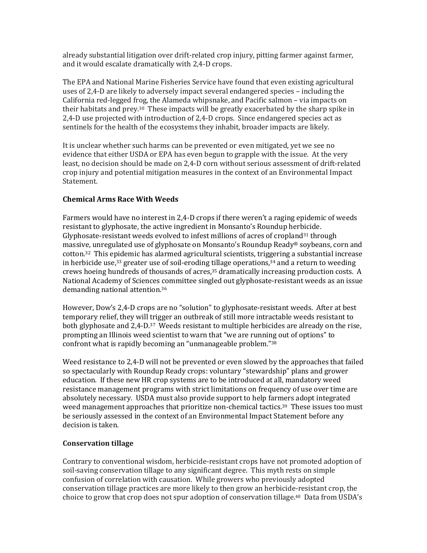already substantial litigation over drift-related crop injury, pitting farmer against farmer, and it would escalate dramatically with 2,4-D crops.

The EPA and National Marine Fisheries Service have found that even existing agricultural uses of 2,4-D are likely to adversely impact several endangered species – including the California red-legged frog, the Alameda whipsnake, and Pacific salmon – via impacts on their habitats and prey.30 These impacts will be greatly exacerbated by the sharp spike in 2,4-D use projected with introduction of 2,4-D crops. Since endangered species act as sentinels for the health of the ecosystems they inhabit, broader impacts are likely.

It is unclear whether such harms can be prevented or even mitigated, yet we see no evidence that either USDA or EPA has even begun to grapple with the issue. At the very least, no decision should be made on 2,4-D corn without serious assessment of drift-related crop injury and potential mitigation measures in the context of an Environmental Impact Statement.

# **Chemical Arms Race With Weeds**

Farmers would have no interest in 2,4-D crops if there weren't a raging epidemic of weeds resistant to glyphosate, the active ingredient in Monsanto's Roundup herbicide. Glyphosate-resistant weeds evolved to infest millions of acres of cropland<sup>31</sup> through massive, unregulated use of glyphosate on Monsanto's Roundup Ready® soybeans, corn and cotton.32 This epidemic has alarmed agricultural scientists, triggering a substantial increase in herbicide use,<sup>33</sup> greater use of soil-eroding tillage operations,<sup>34</sup> and a return to weeding crews hoeing hundreds of thousands of acres,35 dramatically increasing production costs. A National Academy of Sciences committee singled out glyphosate-resistant weeds as an issue demanding national attention.<sup>36</sup>

However, Dow's 2,4-D crops are no "solution" to glyphosate-resistant weeds. After at best temporary relief, they will trigger an outbreak of still more intractable weeds resistant to both glyphosate and 2,4-D.37 Weeds resistant to multiple herbicides are already on the rise, prompting an Illinois weed scientist to warn that "we are running out of options" to confront what is rapidly becoming an "unmanageable problem."<sup>38</sup>

Weed resistance to 2,4-D will not be prevented or even slowed by the approaches that failed so spectacularly with Roundup Ready crops: voluntary "stewardship" plans and grower education. If these new HR crop systems are to be introduced at all, mandatory weed resistance management programs with strict limitations on frequency of use over time are absolutely necessary. USDA must also provide support to help farmers adopt integrated weed management approaches that prioritize non-chemical tactics.<sup>39</sup> These issues too must be seriously assessed in the context of an Environmental Impact Statement before any decision is taken.

# **Conservation tillage**

Contrary to conventional wisdom, herbicide-resistant crops have not promoted adoption of soil-saving conservation tillage to any significant degree. This myth rests on simple confusion of correlation with causation. While growers who previously adopted conservation tillage practices are more likely to then grow an herbicide-resistant crop, the choice to grow that crop does not spur adoption of conservation tillage.40 Data from USDA's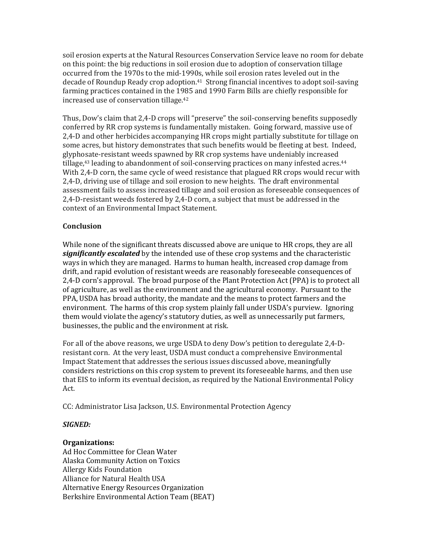soil erosion experts at the Natural Resources Conservation Service leave no room for debate on this point: the big reductions in soil erosion due to adoption of conservation tillage occurred from the 1970s to the mid-1990s, while soil erosion rates leveled out in the decade of Roundup Ready crop adoption.41 Strong financial incentives to adopt soil-saving farming practices contained in the 1985 and 1990 Farm Bills are chiefly responsible for increased use of conservation tillage.<sup>42</sup>

Thus, Dow's claim that 2,4-D crops will "preserve" the soil-conserving benefits supposedly conferred by RR crop systems is fundamentally mistaken. Going forward, massive use of 2,4-D and other herbicides accompanying HR crops might partially substitute for tillage on some acres, but history demonstrates that such benefits would be fleeting at best. Indeed, glyphosate-resistant weeds spawned by RR crop systems have undeniably increased tillage,<sup>43</sup> leading to abandonment of soil-conserving practices on many infested acres.<sup>44</sup> With 2,4-D corn, the same cycle of weed resistance that plagued RR crops would recur with 2,4-D, driving use of tillage and soil erosion to new heights. The draft environmental assessment fails to assess increased tillage and soil erosion as foreseeable consequences of 2,4-D-resistant weeds fostered by 2,4-D corn, a subject that must be addressed in the context of an Environmental Impact Statement.

# **Conclusion**

While none of the significant threats discussed above are unique to HR crops, they are all *significantly escalated* by the intended use of these crop systems and the characteristic ways in which they are managed. Harms to human health, increased crop damage from drift, and rapid evolution of resistant weeds are reasonably foreseeable consequences of 2,4-D corn's approval. The broad purpose of the Plant Protection Act (PPA) is to protect all of agriculture, as well as the environment and the agricultural economy. Pursuant to the PPA, USDA has broad authority, the mandate and the means to protect farmers and the environment. The harms of this crop system plainly fall under USDA's purview. Ignoring them would violate the agency's statutory duties, as well as unnecessarily put farmers, businesses, the public and the environment at risk.

For all of the above reasons, we urge USDA to deny Dow's petition to deregulate 2,4-Dresistant corn. At the very least, USDA must conduct a comprehensive Environmental Impact Statement that addresses the serious issues discussed above, meaningfully considers restrictions on this crop system to prevent its foreseeable harms, and then use that EIS to inform its eventual decision, as required by the National Environmental Policy Act.

CC: Administrator Lisa Jackson, U.S. Environmental Protection Agency

### *SIGNED:*

#### **Organizations:**

Ad Hoc Committee for Clean Water Alaska Community Action on Toxics Allergy Kids Foundation Alliance for Natural Health USA Alternative Energy Resources Organization Berkshire Environmental Action Team (BEAT)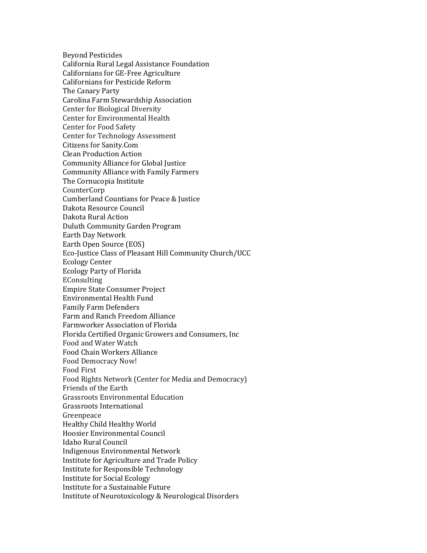Beyond Pesticides California Rural Legal Assistance Foundation Californians for GE-Free Agriculture Californians for Pesticide Reform The Canary Party Carolina Farm Stewardship Association Center for Biological Diversity Center for Environmental Health Center for Food Safety Center for Technology Assessment Citizens for Sanity.Com Clean Production Action Community Alliance for Global Justice Community Alliance with Family Farmers The Cornucopia Institute CounterCorp Cumberland Countians for Peace & Justice Dakota Resource Council Dakota Rural Action Duluth Community Garden Program Earth Day Network Earth Open Source (EOS) Eco-Justice Class of Pleasant Hill Community Church/UCC Ecology Center Ecology Party of Florida **EConsulting** Empire State Consumer Project Environmental Health Fund Family Farm Defenders Farm and Ranch Freedom Alliance Farmworker Association of Florida Florida Certified Organic Growers and Consumers, Inc Food and Water Watch Food Chain Workers Alliance Food Democracy Now! Food First Food Rights Network (Center for Media and Democracy) Friends of the Earth Grassroots Environmental Education Grassroots International Greenpeace Healthy Child Healthy World Hoosier Environmental Council Idaho Rural Council Indigenous Environmental Network Institute for Agriculture and Trade Policy Institute for Responsible Technology Institute for Social Ecology Institute for a Sustainable Future Institute of Neurotoxicology & Neurological Disorders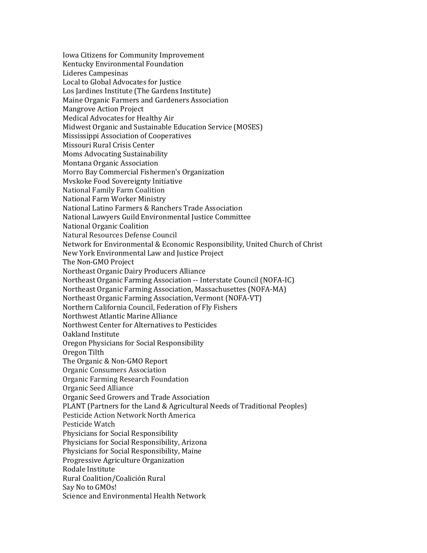Iowa Citizens for Community Improvement Kentucky Environmental Foundation Lideres Campesinas Local to Global Advocates for Justice Los Jardines Institute (The Gardens Institute) Maine Organic Farmers and Gardeners Association Mangrove Action Project Medical Advocates for Healthy Air Midwest Organic and Sustainable Education Service (MOSES) Mississippi Association of Cooperatives Missouri Rural Crisis Center Moms Advocating Sustainability Montana Organic Association Morro Bay Commercial Fishermen's Organization Mvskoke Food Sovereignty Initiative National Family Farm Coalition National Farm Worker Ministry National Latino Farmers & Ranchers Trade Association National Lawyers Guild Environmental Justice Committee National Organic Coalition Natural Resources Defense Council Network for Environmental & Economic Responsibility, United Church of Christ New York Environmental Law and Justice Project The Non-GMO Project Northeast Organic Dairy Producers Alliance Northeast Organic Farming Association -- Interstate Council (NOFA-IC) Northeast Organic Farming Association, Massachusettes (NOFA-MA) Northeast Organic Farming Association, Vermont (NOFA-VT) Northern California Council, Federation of Fly Fishers Northwest Atlantic Marine Alliance Northwest Center for Alternatives to Pesticides Oakland Institute Oregon Physicians for Social Responsibility Oregon Tilth The Organic & Non-GMO Report Organic Consumers Association Organic Farming Research Foundation Organic Seed Alliance Organic Seed Growers and Trade Association PLANT (Partners for the Land & Agricultural Needs of Traditional Peoples) Pesticide Action Network North America Pesticide Watch Physicians for Social Responsibility Physicians for Social Responsibility, Arizona Physicians for Social Responsibility, Maine Progressive Agriculture Organization Rodale Institute Rural Coalition/Coalición Rural Say No to GMOs! Science and Environmental Health Network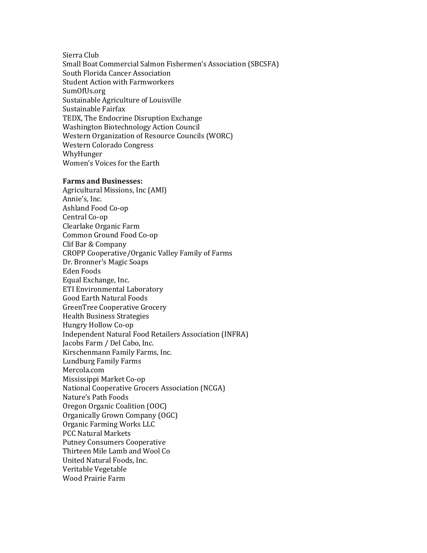Sierra Club Small Boat Commercial Salmon Fishermen's Association (SBCSFA) South Florida Cancer Association Student Action with Farmworkers SumOfUs.org Sustainable Agriculture of Louisville Sustainable Fairfax TEDX, The Endocrine Disruption Exchange Washington Biotechnology Action Council Western Organization of Resource Councils (WORC) Western Colorado Congress WhyHunger Women's Voices for the Earth

#### **Farms and Businesses:**

Agricultural Missions, Inc (AMI) Annie's, Inc. Ashland Food Co-op Central Co-op Clearlake Organic Farm Common Ground Food Co-op Clif Bar & Company CROPP Cooperative/Organic Valley Family of Farms Dr. Bronner's Magic Soaps Eden Foods Equal Exchange, Inc. ETI Environmental Laboratory Good Earth Natural Foods GreenTree Cooperative Grocery Health Business Strategies Hungry Hollow Co-op Independent Natural Food Retailers Association (INFRA) Jacobs Farm / Del Cabo, Inc. Kirschenmann Family Farms, Inc. Lundburg Family Farms Mercola.com Mississippi Market Co-op National Cooperative Grocers Association (NCGA) Nature's Path Foods Oregon Organic Coalition (OOC) Organically Grown Company (OGC) Organic Farming Works LLC PCC Natural Markets Putney Consumers Cooperative Thirteen Mile Lamb and Wool Co United Natural Foods, Inc. Veritable Vegetable Wood Prairie Farm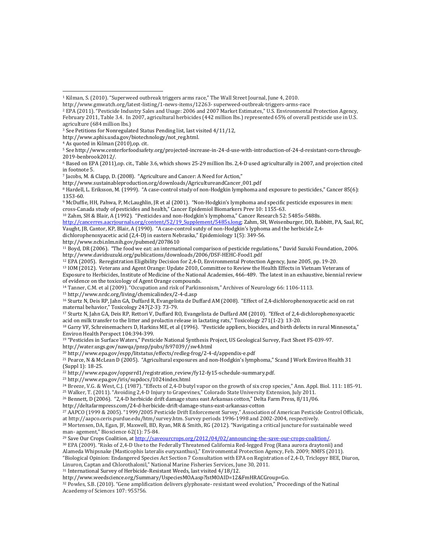<sup>4</sup> As quoted in Kilman (2010),op. cit.

L

http://www.sustainableproduction.org/downloads/AgricultureandCancer\_001.pdf

<sup>10</sup> Zahm, SH & Blair, A (1992). "Pesticides and non-Hodgkin's lymphoma," Cancer Research 52: 5485s-5488s.

http://cancerres.aacrjournals.org/content/52/19\_Supplement/5485s.long; Zahm, SH, Weisenburger, DD, Babbitt, PA, Saal, RC, Vaught, JB, Cantor, KP, Blair, A (1990). "A case-control sutdy of non-Hodgkin's lyphoma and the herbicide 2,4-

dichlorophenoxyacetic acid (2,4-D) in eastern Nebraska," Epidemiology 1(5): 349-56.

http://www.ncbi.nlm.nih.gov/pubmed/2078610

<sup>11</sup> Boyd, DR (2006). "The food we eat: an international comparison of pesticide regulations," David Suzuki Foundation, 2006. http://www.davidsuzuki.org/publications/downloads/2006/DSF-HEHC-Food1.pdf

<sup>12</sup> EPA (2005). Reregistration Eligibility Decision for 2,4-D, Environmental Protection Agency, June 2005, pp. 19-20.

<sup>13</sup> IOM (2012). Veterans and Agent Orange: Update 2010, Committee to Review the Health Effects in Vietnam Veterans of Exposure to Herbicides, Institute of Medicine of the National Academies, 466-489. The latest in an exhaustive, biennial review of evidence on the toxicology of Agent Orange compounds.

<sup>14</sup> Tanner, C.M. et al (2009). "Occupation and risk of Parkinsonism," Archives of Neurology 66: 1106-1113.

<sup>15</sup> http://www.nrdc.org/living/chemicalindex/2-4-d.asp

<sup>16</sup> Sturtz N, Deis RP, Jahn GA, Duffard R, Evangelista de Duffard AM (2008). "Effect of 2,4-dichlorophenoxyacetic acid on rat maternal behavior," Toxicology 247(2-3): 73-79.

<sup>17</sup> Sturtz N, Jahn GA, Deis RP, Rettori V, Duffard RO, Evangelista de Duffard AM (2010). "Effect of 2,4-dichlorophenoxyacetic acid on milk transfer to the litter and prolactin release in lactating rats," Toxicology 271(1-2): 13-20.

<sup>18</sup> Garry VF, Schreinemachers D, Harkins ME, et al (1996). "Pesticide appliers, biocides, and birth defects in rural Minnesota," Environ Health Perspect 104:394-399.

<sup>19</sup> "Pesticides in Surface Waters," Pesticide National Synthesis Project, US Geological Survey, Fact Sheet FS-039-97.

http://water.usgs.gov/nawqa/pnsp/pubs/fs97039//sw4.html

<sup>20</sup> http://www.epa.gov/espp/litstatus/effects/redleg-frog/2-4-d/appendix-e.pdf

<sup>21</sup> Pearce, N & McLean D (2005). "Agricultural exposures and non-Hodgkin's lymphoma," Scand J Work Environ Health 31 (Suppl 1): 18-25.

<sup>22</sup> http://www.epa.gov/oppsrrd1/registration\_review/fy12-fy15-schedule-summary.pdf.

<sup>23</sup> http://www.epa.gov/iris/supdocs/1024index.html

<sup>24</sup> Breeze, V.G. & West, C.J. (1987). "Effects of 2,4-D butyl vapor on the growth of six crop species," Ann. Appl. Biol. 111: 185-91.

<sup>25</sup> Walker, T. (2011). "Avoiding 2,4-D Injury to Grapevines," Colorado State University Extension, July 2011.

<sup>26</sup> Bennett, D (2006). "2,4-D herbicide drift damage stuns east Arkansas cotton," Delta Farm Press, 8/11/06.

http://deltafarmpress.com/24-d-herbicide-drift-damage-stuns-east-arkansas-cotton

<sup>27</sup> AAPCO (1999 & 2005). "1999/2005 Pesticide Drift Enforcement Survey," Association of American Pesticide Control Officials, at http://aapco.ceris.purdue.edu/htm/survey.htm. Survey periods 1996-1998 and 2002-2004, respectively.

<sup>28</sup> Mortensen, DA, Egan, JF, Maxwell, BD, Ryan, MR & Smith, RG (2012). "Navigating a critical juncture for sustainable weed man- agement," Bioscience 62(1): 75-84.

<sup>29</sup> Save Our Crops Coalition, at http://saveourcrops.org/2012/04/02/announcing-the-save-our-crops-coalition/.

<sup>30</sup> EPA (2009). "Risks of 2,4-D Use to the Federally Threatened California Red-legged Frog (Rana aurora draytonii) and Alameda Whipsnake (Masticophis lateralis euryxanthus)," Environmental Protection Agency, Feb. 2009; NMFS (2011).

"Biological Opinion: Endangered Species Act Section 7 Consultation with EPA on Registration of 2,4-D, Triclopyr BEE, Diuron, Linuron, Captan and Chlorothalonil," National Marine Fisheries Services, June 30, 2011.

<sup>31</sup> International Survey of Herbicide-Resistant Weeds, last visited 4/18/12.

http://www.weedscience.org/Summary/UspeciesMOA.asp?lstMOAID=12&FmHRACGroup=Go.

<sup>32</sup> Powles, S.B. (2010). "Gene amplification delivers glyphosate- resistant weed evolution," Proceedings of the Natinal Acaedemy of Sciences 107: 955?56.

<sup>1</sup> Kilman, S. (2010). "Superweed outbreak triggers arms race," The Wall Street Journal, June 4, 2010.

http://www.gmwatch.org/latest-listing/1-news-items/12263- superweed-outbreak-triggers-arms-race

<sup>2</sup> EPA (2011). "Pesticide Industry Sales and Usage: 2006 and 2007 Market Estimates," U.S. Environmental Protection Agency,

February 2011, Table 3.4. In 2007, agricultural herbicides (442 million lbs.) represented 65% of overall pesticide use in U.S. agriculture (684 million lbs.)

<sup>&</sup>lt;sup>3</sup> See Petitions for Nonregulated Status Pending list, last visited 4/11/12,

http://www.aphis.usda.gov/biotechnology/not\_reg.html.

<sup>5</sup> See http://www.centerforfoodsafety.org/projected-increase-in-24-d-use-with-introduction-of-24-d-resistant-corn-through-2019-benbrook2012/.

<sup>6</sup> Based on EPA (2011),op. cit., Table 3.6, which shows 25-29 million lbs. 2,4-D used agriculturally in 2007, and projection cited in footnote 5.

<sup>7</sup> Jacobs, M. & Clapp, D. (2008). "Agriculture and Cancer: A Need for Action,"

<sup>8</sup> Hardell, L. Eriksson, M. (1999). "A case-control study of non-Hodgkin lymphoma and exposure to pesticides," Cancer 85(6): 1353-60.

<sup>9</sup> McDuffie, HH, Pahwa, P, McLaughlin, JR et al (2001). "Non-Hodgkin's lymphoma and specific pesticide exposures in men: cross-Canada study of pesticides and health," Cancer Epidemiol Biomarkers Prev 10: 1155-63.